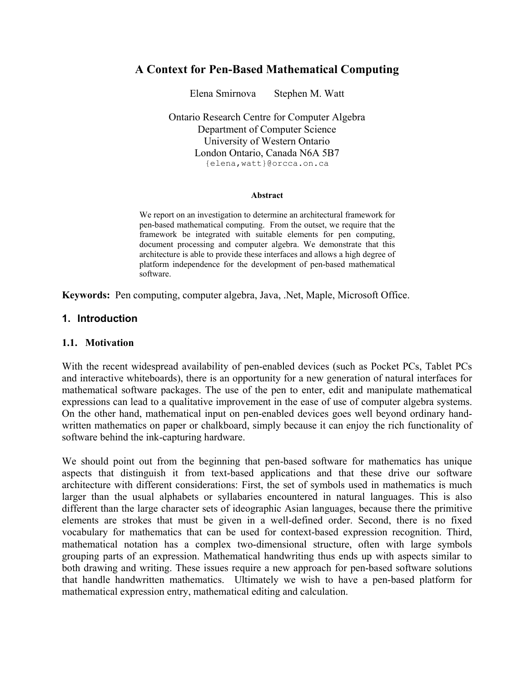# **A Context for Pen-Based Mathematical Computing**

Elena Smirnova Stephen M. Watt

Ontario Research Centre for Computer Algebra Department of Computer Science University of Western Ontario London Ontario, Canada N6A 5B7 {elena,watt}@orcca.on.ca

#### **Abstract**

We report on an investigation to determine an architectural framework for pen-based mathematical computing. From the outset, we require that the framework be integrated with suitable elements for pen computing, document processing and computer algebra. We demonstrate that this architecture is able to provide these interfaces and allows a high degree of platform independence for the development of pen-based mathematical software.

**Keywords:** Pen computing, computer algebra, Java, .Net, Maple, Microsoft Office.

#### **1. Introduction**

#### **1.1. Motivation**

With the recent widespread availability of pen-enabled devices (such as Pocket PCs, Tablet PCs and interactive whiteboards), there is an opportunity for a new generation of natural interfaces for mathematical software packages. The use of the pen to enter, edit and manipulate mathematical expressions can lead to a qualitative improvement in the ease of use of computer algebra systems. On the other hand, mathematical input on pen-enabled devices goes well beyond ordinary handwritten mathematics on paper or chalkboard, simply because it can enjoy the rich functionality of software behind the ink-capturing hardware.

We should point out from the beginning that pen-based software for mathematics has unique aspects that distinguish it from text-based applications and that these drive our software architecture with different considerations: First, the set of symbols used in mathematics is much larger than the usual alphabets or syllabaries encountered in natural languages. This is also different than the large character sets of ideographic Asian languages, because there the primitive elements are strokes that must be given in a well-defined order. Second, there is no fixed vocabulary for mathematics that can be used for context-based expression recognition. Third, mathematical notation has a complex two-dimensional structure, often with large symbols grouping parts of an expression. Mathematical handwriting thus ends up with aspects similar to both drawing and writing. These issues require a new approach for pen-based software solutions that handle handwritten mathematics. Ultimately we wish to have a pen-based platform for mathematical expression entry, mathematical editing and calculation.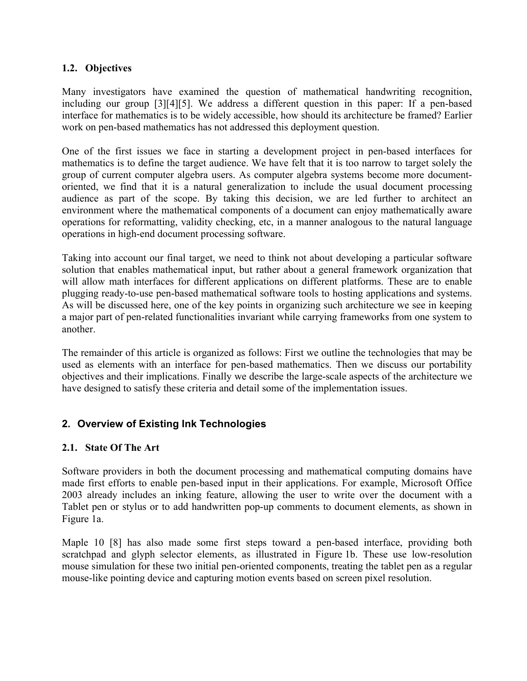### **1.2. Objectives**

Many investigators have examined the question of mathematical handwriting recognition, including our group [3][4][5]. We address a different question in this paper: If a pen-based interface for mathematics is to be widely accessible, how should its architecture be framed? Earlier work on pen-based mathematics has not addressed this deployment question.

One of the first issues we face in starting a development project in pen-based interfaces for mathematics is to define the target audience. We have felt that it is too narrow to target solely the group of current computer algebra users. As computer algebra systems become more documentoriented, we find that it is a natural generalization to include the usual document processing audience as part of the scope. By taking this decision, we are led further to architect an environment where the mathematical components of a document can enjoy mathematically aware operations for reformatting, validity checking, etc, in a manner analogous to the natural language operations in high-end document processing software.

Taking into account our final target, we need to think not about developing a particular software solution that enables mathematical input, but rather about a general framework organization that will allow math interfaces for different applications on different platforms. These are to enable plugging ready-to-use pen-based mathematical software tools to hosting applications and systems. As will be discussed here, one of the key points in organizing such architecture we see in keeping a major part of pen-related functionalities invariant while carrying frameworks from one system to another.

The remainder of this article is organized as follows: First we outline the technologies that may be used as elements with an interface for pen-based mathematics. Then we discuss our portability objectives and their implications. Finally we describe the large-scale aspects of the architecture we have designed to satisfy these criteria and detail some of the implementation issues.

## **2. Overview of Existing Ink Technologies**

## **2.1. State Of The Art**

Software providers in both the document processing and mathematical computing domains have made first efforts to enable pen-based input in their applications. For example, Microsoft Office 2003 already includes an inking feature, allowing the user to write over the document with a Tablet pen or stylus or to add handwritten pop-up comments to document elements, as shown in Figure 1a.

Maple 10 [8] has also made some first steps toward a pen-based interface, providing both scratchpad and glyph selector elements, as illustrated in Figure 1b. These use low-resolution mouse simulation for these two initial pen-oriented components, treating the tablet pen as a regular mouse-like pointing device and capturing motion events based on screen pixel resolution.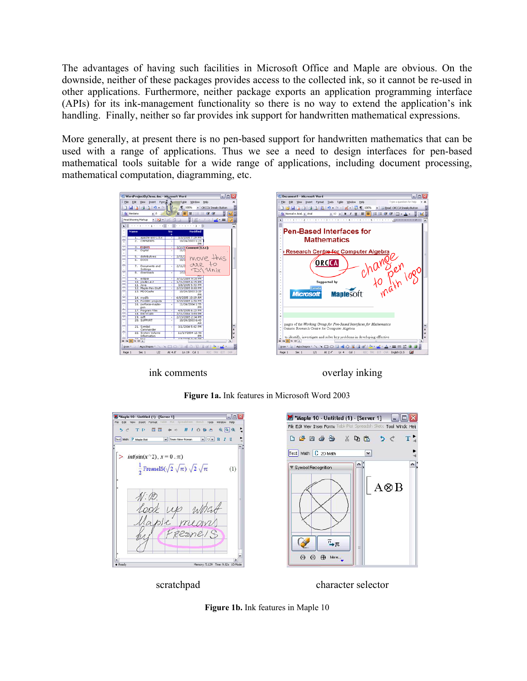The advantages of having such facilities in Microsoft Office and Maple are obvious. On the downside, neither of these packages provides access to the collected ink, so it cannot be re-used in other applications. Furthermore, neither package exports an application programming interface (APIs) for its ink-management functionality so there is no way to extend the application's ink handling. Finally, neither so far provides ink support for handwritten mathematical expressions.

More generally, at present there is no pen-based support for handwritten mathematics that can be used with a range of applications. Thus we see a need to design interfaces for pen-based mathematical tools suitable for a wide range of applications, including document processing, mathematical computation, diagramming, etc.



ink comments overlay inking





**Figure 1a.** Ink features in Microsoft Word 2003



**Figure 1b.** Ink features in Maple 10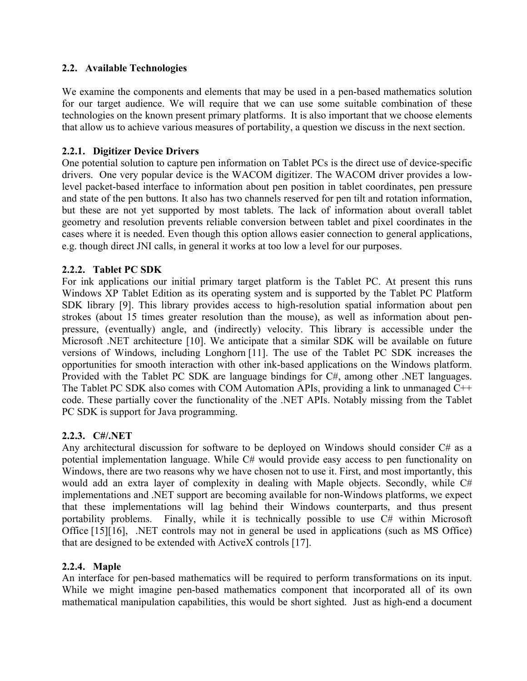### **2.2. Available Technologies**

We examine the components and elements that may be used in a pen-based mathematics solution for our target audience. We will require that we can use some suitable combination of these technologies on the known present primary platforms. It is also important that we choose elements that allow us to achieve various measures of portability, a question we discuss in the next section.

### **2.2.1. Digitizer Device Drivers**

One potential solution to capture pen information on Tablet PCs is the direct use of device-specific drivers. One very popular device is the WACOM digitizer. The WACOM driver provides a lowlevel packet-based interface to information about pen position in tablet coordinates, pen pressure and state of the pen buttons. It also has two channels reserved for pen tilt and rotation information, but these are not yet supported by most tablets. The lack of information about overall tablet geometry and resolution prevents reliable conversion between tablet and pixel coordinates in the cases where it is needed. Even though this option allows easier connection to general applications, e.g. though direct JNI calls, in general it works at too low a level for our purposes.

#### **2.2.2. Tablet PC SDK**

For ink applications our initial primary target platform is the Tablet PC. At present this runs Windows XP Tablet Edition as its operating system and is supported by the Tablet PC Platform SDK library [9]. This library provides access to high-resolution spatial information about pen strokes (about 15 times greater resolution than the mouse), as well as information about penpressure, (eventually) angle, and (indirectly) velocity. This library is accessible under the Microsoft .NET architecture [10]. We anticipate that a similar SDK will be available on future versions of Windows, including Longhorn [11]. The use of the Tablet PC SDK increases the opportunities for smooth interaction with other ink-based applications on the Windows platform. Provided with the Tablet PC SDK are language bindings for C#, among other .NET languages. The Tablet PC SDK also comes with COM Automation APIs, providing a link to unmanaged C++ code. These partially cover the functionality of the .NET APIs. Notably missing from the Tablet PC SDK is support for Java programming.

#### **2.2.3. C#/.NET**

Any architectural discussion for software to be deployed on Windows should consider C# as a potential implementation language. While C# would provide easy access to pen functionality on Windows, there are two reasons why we have chosen not to use it. First, and most importantly, this would add an extra layer of complexity in dealing with Maple objects. Secondly, while C# implementations and .NET support are becoming available for non-Windows platforms, we expect that these implementations will lag behind their Windows counterparts, and thus present portability problems. Finally, while it is technically possible to use C# within Microsoft Office [15][16], .NET controls may not in general be used in applications (such as MS Office) that are designed to be extended with ActiveX controls [17].

#### **2.2.4. Maple**

An interface for pen-based mathematics will be required to perform transformations on its input. While we might imagine pen-based mathematics component that incorporated all of its own mathematical manipulation capabilities, this would be short sighted. Just as high-end a document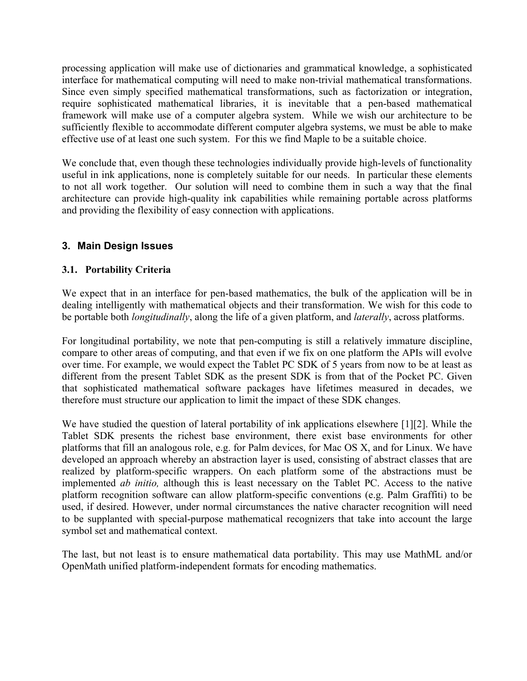processing application will make use of dictionaries and grammatical knowledge, a sophisticated interface for mathematical computing will need to make non-trivial mathematical transformations. Since even simply specified mathematical transformations, such as factorization or integration, require sophisticated mathematical libraries, it is inevitable that a pen-based mathematical framework will make use of a computer algebra system. While we wish our architecture to be sufficiently flexible to accommodate different computer algebra systems, we must be able to make effective use of at least one such system. For this we find Maple to be a suitable choice.

We conclude that, even though these technologies individually provide high-levels of functionality useful in ink applications, none is completely suitable for our needs. In particular these elements to not all work together. Our solution will need to combine them in such a way that the final architecture can provide high-quality ink capabilities while remaining portable across platforms and providing the flexibility of easy connection with applications.

## **3. Main Design Issues**

## **3.1. Portability Criteria**

We expect that in an interface for pen-based mathematics, the bulk of the application will be in dealing intelligently with mathematical objects and their transformation. We wish for this code to be portable both *longitudinally*, along the life of a given platform, and *laterally*, across platforms.

For longitudinal portability, we note that pen-computing is still a relatively immature discipline, compare to other areas of computing, and that even if we fix on one platform the APIs will evolve over time. For example, we would expect the Tablet PC SDK of 5 years from now to be at least as different from the present Tablet SDK as the present SDK is from that of the Pocket PC. Given that sophisticated mathematical software packages have lifetimes measured in decades, we therefore must structure our application to limit the impact of these SDK changes.

We have studied the question of lateral portability of ink applications elsewhere [1][2]. While the Tablet SDK presents the richest base environment, there exist base environments for other platforms that fill an analogous role, e.g. for Palm devices, for Mac OS X, and for Linux. We have developed an approach whereby an abstraction layer is used, consisting of abstract classes that are realized by platform-specific wrappers. On each platform some of the abstractions must be implemented *ab initio,* although this is least necessary on the Tablet PC. Access to the native platform recognition software can allow platform-specific conventions (e.g. Palm Graffiti) to be used, if desired. However, under normal circumstances the native character recognition will need to be supplanted with special-purpose mathematical recognizers that take into account the large symbol set and mathematical context.

The last, but not least is to ensure mathematical data portability. This may use MathML and/or OpenMath unified platform-independent formats for encoding mathematics.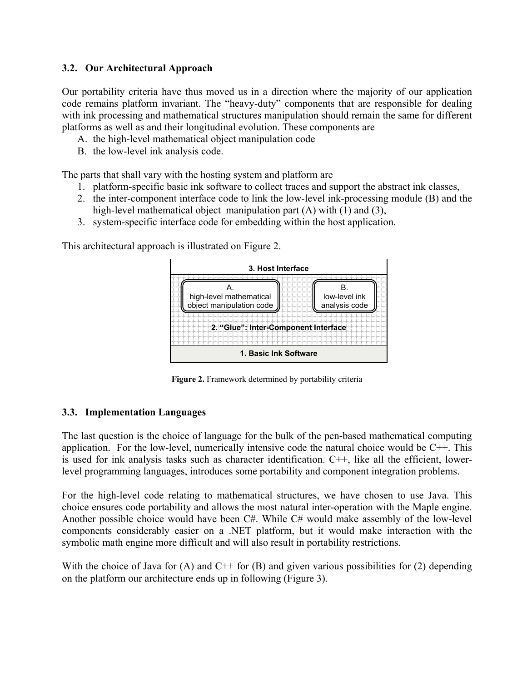### **3.2. Our Architectural Approach**

Our portability criteria have thus moved us in a direction where the majority of our application code remains platform invariant. The "heavy-duty" components that are responsible for dealing with ink processing and mathematical structures manipulation should remain the same for different platforms as well as and their longitudinal evolution. These components are

- A. the high-level mathematical object manipulation code
- B. the low-level ink analysis code.

The parts that shall vary with the hosting system and platform are

- 1. platform-specific basic ink software to collect traces and support the abstract ink classes,
- 2. the inter-component interface code to link the low-level ink-processing module (B) and the high-level mathematical object manipulation part (A) with (1) and (3),
- 3. system-specific interface code for embedding within the host application.

This architectural approach is illustrated on Figure 2.



**Figure 2.** Framework determined by portability criteria

#### **3.3. Implementation Languages**

The last question is the choice of language for the bulk of the pen-based mathematical computing application. For the low-level, numerically intensive code the natural choice would be C++. This is used for ink analysis tasks such as character identification. C++, like all the efficient, lowerlevel programming languages, introduces some portability and component integration problems.

For the high-level code relating to mathematical structures, we have chosen to use Java. This choice ensures code portability and allows the most natural inter-operation with the Maple engine. Another possible choice would have been C#. While C# would make assembly of the low-level components considerably easier on a .NET platform, but it would make interaction with the symbolic math engine more difficult and will also result in portability restrictions.

With the choice of Java for (A) and  $C^{++}$  for (B) and given various possibilities for (2) depending on the platform our architecture ends up in following (Figure 3).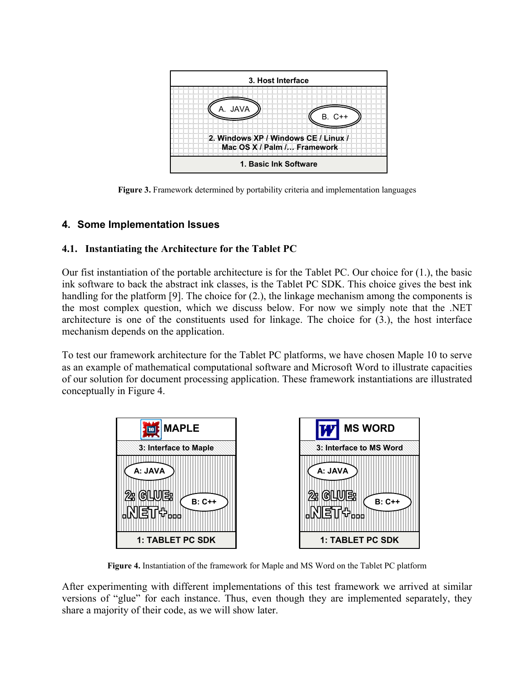

**Figure 3.** Framework determined by portability criteria and implementation languages

## **4. Some Implementation Issues**

## **4.1. Instantiating the Architecture for the Tablet PC**

Our fist instantiation of the portable architecture is for the Tablet PC. Our choice for (1.), the basic ink software to back the abstract ink classes, is the Tablet PC SDK. This choice gives the best ink handling for the platform [9]. The choice for (2.), the linkage mechanism among the components is the most complex question, which we discuss below. For now we simply note that the .NET architecture is one of the constituents used for linkage. The choice for (3.), the host interface mechanism depends on the application.

To test our framework architecture for the Tablet PC platforms, we have chosen Maple 10 to serve as an example of mathematical computational software and Microsoft Word to illustrate capacities of our solution for document processing application. These framework instantiations are illustrated conceptually in Figure 4.



**Figure 4.** Instantiation of the framework for Maple and MS Word on the Tablet PC platform

After experimenting with different implementations of this test framework we arrived at similar versions of "glue" for each instance. Thus, even though they are implemented separately, they share a majority of their code, as we will show later.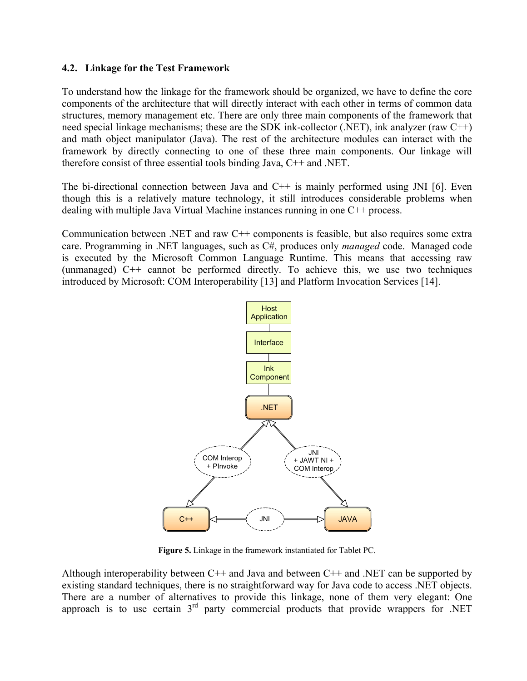#### **4.2. Linkage for the Test Framework**

To understand how the linkage for the framework should be organized, we have to define the core components of the architecture that will directly interact with each other in terms of common data structures, memory management etc. There are only three main components of the framework that need special linkage mechanisms; these are the SDK ink-collector (.NET), ink analyzer (raw C++) and math object manipulator (Java). The rest of the architecture modules can interact with the framework by directly connecting to one of these three main components. Our linkage will therefore consist of three essential tools binding Java, C++ and .NET.

The bi-directional connection between Java and  $C_{++}$  is mainly performed using JNI [6]. Even though this is a relatively mature technology, it still introduces considerable problems when dealing with multiple Java Virtual Machine instances running in one C++ process.

Communication between .NET and raw C++ components is feasible, but also requires some extra care. Programming in .NET languages, such as C#, produces only *managed* code. Managed code is executed by the Microsoft Common Language Runtime. This means that accessing raw (unmanaged) C++ cannot be performed directly. To achieve this, we use two techniques introduced by Microsoft: COM Interoperability [13] and Platform Invocation Services [14].



**Figure 5.** Linkage in the framework instantiated for Tablet PC.

Although interoperability between C++ and Java and between C++ and .NET can be supported by existing standard techniques, there is no straightforward way for Java code to access .NET objects. There are a number of alternatives to provide this linkage, none of them very elegant: One approach is to use certain  $3<sup>rd</sup>$  party commercial products that provide wrappers for .NET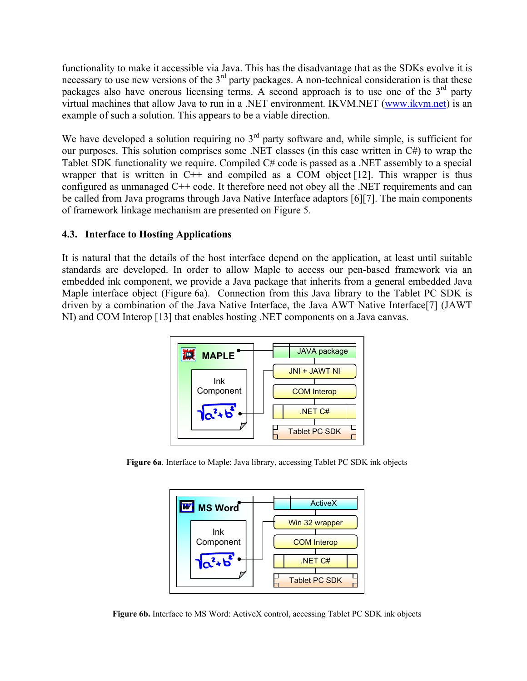functionality to make it accessible via Java. This has the disadvantage that as the SDKs evolve it is necessary to use new versions of the  $3<sup>rd</sup>$  party packages. A non-technical consideration is that these packages also have onerous licensing terms. A second approach is to use one of the  $3<sup>rd</sup>$  party virtual machines that allow Java to run in a .NET environment. IKVM.NET (www.ikvm.net) is an example of such a solution. This appears to be a viable direction.

We have developed a solution requiring no  $3<sup>rd</sup>$  party software and, while simple, is sufficient for our purposes. This solution comprises some .NET classes (in this case written in C#) to wrap the Tablet SDK functionality we require. Compiled C# code is passed as a .NET assembly to a special wrapper that is written in  $C^{++}$  and compiled as a COM object [12]. This wrapper is thus configured as unmanaged C++ code. It therefore need not obey all the .NET requirements and can be called from Java programs through Java Native Interface adaptors [6][7]. The main components of framework linkage mechanism are presented on Figure 5.

## **4.3. Interface to Hosting Applications**

It is natural that the details of the host interface depend on the application, at least until suitable standards are developed. In order to allow Maple to access our pen-based framework via an embedded ink component, we provide a Java package that inherits from a general embedded Java Maple interface object (Figure 6a). Connection from this Java library to the Tablet PC SDK is driven by a combination of the Java Native Interface, the Java AWT Native Interface[7] (JAWT NI) and COM Interop [13] that enables hosting .NET components on a Java canvas.



**Figure 6a**. Interface to Maple: Java library, accessing Tablet PC SDK ink objects



**Figure 6b.** Interface to MS Word: ActiveX control, accessing Tablet PC SDK ink objects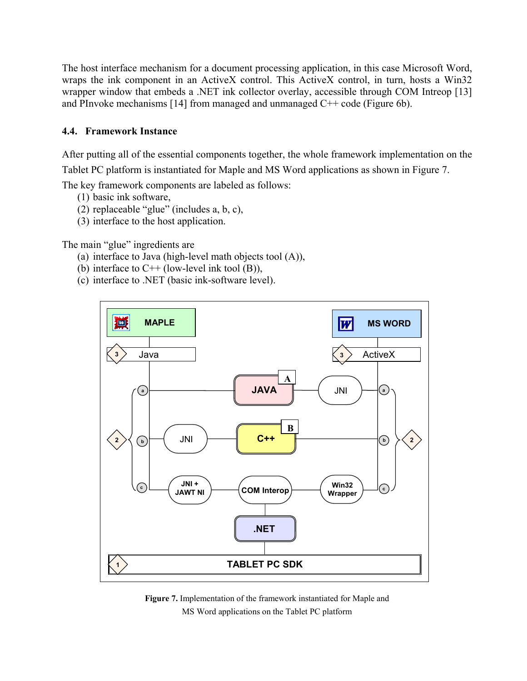The host interface mechanism for a document processing application, in this case Microsoft Word, wraps the ink component in an ActiveX control. This ActiveX control, in turn, hosts a Win32 wrapper window that embeds a .NET ink collector overlay, accessible through COM Intreop [13] and PInvoke mechanisms [14] from managed and unmanaged C++ code (Figure 6b).

## **4.4. Framework Instance**

After putting all of the essential components together, the whole framework implementation on the Tablet PC platform is instantiated for Maple and MS Word applications as shown in Figure 7.

The key framework components are labeled as follows:

- (1) basic ink software,
- (2) replaceable "glue" (includes a, b, c),
- (3) interface to the host application.

The main "glue" ingredients are

- (a) interface to Java (high-level math objects tool (A)),
- (b) interface to  $C++$  (low-level ink tool (B)),
- (c) interface to .NET (basic ink-software level).



**Figure 7.** Implementation of the framework instantiated for Maple and MS Word applications on the Tablet PC platform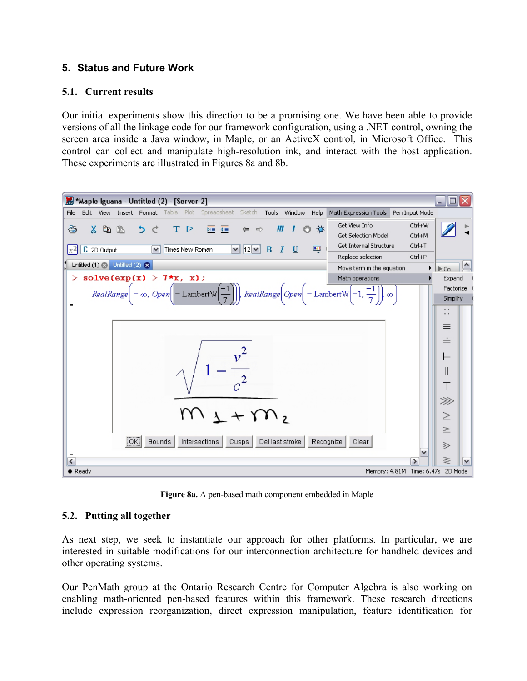## **5. Status and Future Work**

### **5.1. Current results**

Our initial experiments show this direction to be a promising one. We have been able to provide versions of all the linkage code for our framework configuration, using a .NET control, owning the screen area inside a Java window, in Maple, or an ActiveX control, in Microsoft Office. This control can collect and manipulate high-resolution ink, and interact with the host application. These experiments are illustrated in Figures 8a and 8b.



**Figure 8a.** A pen-based math component embedded in Maple

## **5.2. Putting all together**

As next step, we seek to instantiate our approach for other platforms. In particular, we are interested in suitable modifications for our interconnection architecture for handheld devices and other operating systems.

Our PenMath group at the Ontario Research Centre for Computer Algebra is also working on enabling math-oriented pen-based features within this framework. These research directions include expression reorganization, direct expression manipulation, feature identification for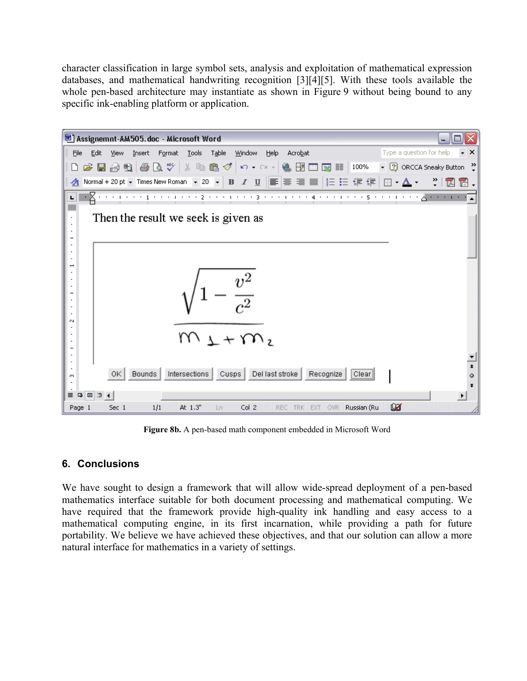character classification in large symbol sets, analysis and exploitation of mathematical expression databases, and mathematical handwriting recognition [3][4][5]. With these tools available the whole pen-based architecture may instantiate as shown in Figure 9 without being bound to any specific ink-enabling platform or application.



**Figure 8b.** A pen-based math component embedded in Microsoft Word

## **6. Conclusions**

We have sought to design a framework that will allow wide-spread deployment of a pen-based mathematics interface suitable for both document processing and mathematical computing. We have required that the framework provide high-quality ink handling and easy access to a mathematical computing engine, in its first incarnation, while providing a path for future portability. We believe we have achieved these objectives, and that our solution can allow a more natural interface for mathematics in a variety of settings.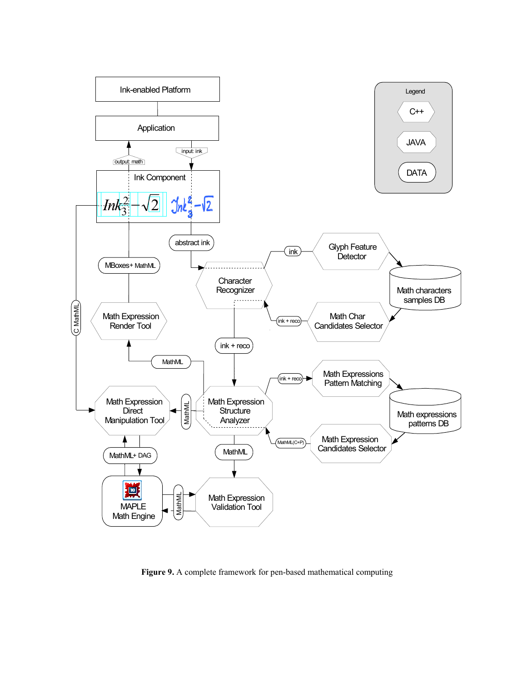

**Figure 9.** A complete framework for pen-based mathematical computing